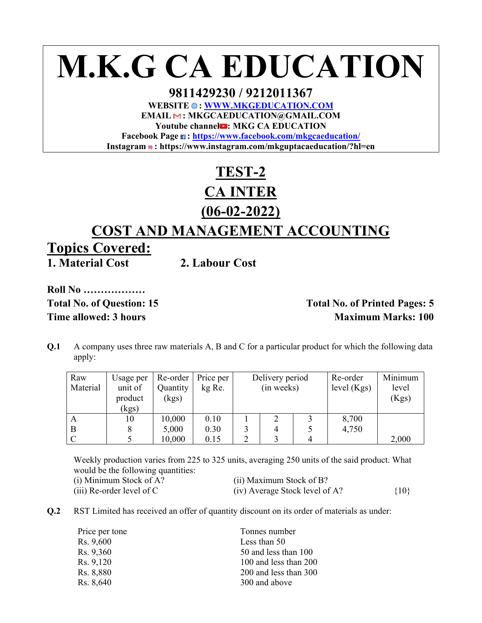# **M.K.G CA EDUCATION**

## **9811429230 / 9212011367**

WEBSITE  $\odot$ : WWW.MKGEDUCATION.COM **EMAIL : MKGCAEDUCATION@GMAIL.COM**  Youtube channel **D**: MKG CA EDUCATION **Facebook Page : https://www.facebook.com/mkgcaeducation/ Instagram : https://www.instagram.com/mkguptacaeducation/?hl=en** 

## **TEST-2 CA INTER**

## **(06-02-2022) COST AND MANAGEMENT ACCOUNTING**

**Topics Covered: 1. Material Cost 2. Labour Cost** 

**Roll No ………………** 

## Total No. of Question: 15 **Total No. of Printed Pages: 5 Time allowed: 3 hours Maximum Marks: 100**

**Q.1** A company uses three raw materials A, B and C for a particular product for which the following data apply:

| Raw          | Usage per | Re-order | Price per | Delivery period |  |  | Re-order      | Minimum |
|--------------|-----------|----------|-----------|-----------------|--|--|---------------|---------|
| Material     | unit of   | Quantity | kg Re.    | (in weeks)      |  |  | level $(Kgs)$ | level   |
|              | product   | (kgs)    |           |                 |  |  |               | (Kgs)   |
|              | (kgs)     |          |           |                 |  |  |               |         |
| $\mathbf{A}$ | 10        | 10,000   | 0.10      |                 |  |  | 8,700         |         |
| B            |           | 5,000    | 0.30      |                 |  |  | 4,750         |         |
|              |           | 10,000   | 0.15      |                 |  |  |               | 2,000   |

Weekly production varies from 225 to 325 units, averaging 250 units of the said product. What would be the following quantities:

| (i) Minimum Stock of A?     | (ii) Maximum Stock of B?       |        |
|-----------------------------|--------------------------------|--------|
| $(iii)$ Re-order level of C | (iv) Average Stock level of A? | ${10}$ |

**Q.2** RST Limited has received an offer of quantity discount on its order of materials as under:

| Price per tone | Tonnes number         |
|----------------|-----------------------|
| Rs. 9,600      | Less than 50          |
| Rs. 9,360      | 50 and less than 100  |
| Rs. 9,120      | 100 and less than 200 |
| Rs. 8,880      | 200 and less than 300 |
| Rs. 8,640      | 300 and above         |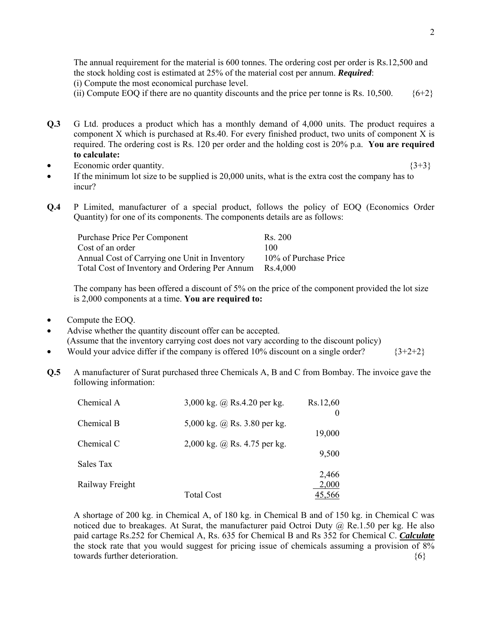The annual requirement for the material is 600 tonnes. The ordering cost per order is Rs.12,500 and the stock holding cost is estimated at 25% of the material cost per annum. *Required*:

- (i) Compute the most economical purchase level.
- (ii) Compute EOQ if there are no quantity discounts and the price per tonne is Rs. 10,500.  ${6+2}$
- **Q.3** G Ltd. produces a product which has a monthly demand of 4,000 units. The product requires a component X which is purchased at Rs.40. For every finished product, two units of component X is required. The ordering cost is Rs. 120 per order and the holding cost is 20% p.a. **You are required to calculate:**
- Economic order quantity.  ${3+3}$
- If the minimum lot size to be supplied is 20,000 units, what is the extra cost the company has to incur?
- **Q.4** P Limited, manufacturer of a special product, follows the policy of EOQ (Economics Order Quantity) for one of its components. The components details are as follows:

| Purchase Price Per Component                   | Rs. 200               |
|------------------------------------------------|-----------------------|
| Cost of an order                               | 100                   |
| Annual Cost of Carrying one Unit in Inventory  | 10% of Purchase Price |
| Total Cost of Inventory and Ordering Per Annum | Rs.4.000              |

The company has been offered a discount of 5% on the price of the component provided the lot size is 2,000 components at a time. **You are required to:** 

• Compute the EOQ.

• Advise whether the quantity discount offer can be accepted. (Assume that the inventory carrying cost does not vary according to the discount policy)

- Would your advice differ if the company is offered 10% discount on a single order?  $\{3+2+2\}$
- **Q.5** A manufacturer of Surat purchased three Chemicals A, B and C from Bombay. The invoice gave the following information:

| Chemical A      | 3,000 kg. @ Rs.4.20 per kg.  | Rs.12,60 |
|-----------------|------------------------------|----------|
| Chemical B      | 5,000 kg. @ Rs. 3.80 per kg. |          |
| Chemical C      | 2,000 kg. @ Rs. 4.75 per kg. | 19,000   |
| Sales Tax       |                              | 9,500    |
|                 |                              | 2,466    |
| Railway Freight |                              | 2,000    |
|                 | <b>Total Cost</b>            | 45,566   |

A shortage of 200 kg. in Chemical A, of 180 kg. in Chemical B and of 150 kg. in Chemical C was noticed due to breakages. At Surat, the manufacturer paid Octroi Duty  $(a)$  Re.1.50 per kg. He also paid cartage Rs.252 for Chemical A, Rs. 635 for Chemical B and Rs 352 for Chemical C. *Calculate* the stock rate that you would suggest for pricing issue of chemicals assuming a provision of 8% towards further deterioration.  $\{6\}$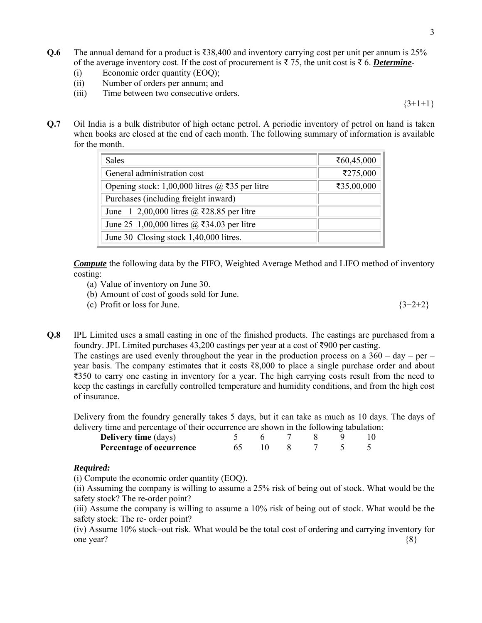- **Q.6** The annual demand for a product is ₹38,400 and inventory carrying cost per unit per annum is 25% of the average inventory cost. If the cost of procurement is ₹ 75, the unit cost is ₹ 6. *Determine*-
	- (i) Economic order quantity (EOQ);
	- (ii) Number of orders per annum; and
	- (iii) Time between two consecutive orders.

 ${3+1+1}$ 

**Q.7** Oil India is a bulk distributor of high octane petrol. A periodic inventory of petrol on hand is taken when books are closed at the end of each month. The following summary of information is available for the month.

| Sales                                                     | ₹60,45,000 |
|-----------------------------------------------------------|------------|
| General administration cost                               | ₹275,000   |
| Opening stock: 1,00,000 litres $@$ ₹35 per litre          | ₹35,00,000 |
| Purchases (including freight inward)                      |            |
| June 1 2,00,000 litres @ $\overline{\xi}$ 28.85 per litre |            |
| June 25 1,00,000 litres @ ₹34.03 per litre                |            |
| June 30 Closing stock 1,40,000 litres.                    |            |

*Compute* the following data by the FIFO, Weighted Average Method and LIFO method of inventory costing:

- (a) Value of inventory on June 30.
- (b) Amount of cost of goods sold for June.
- (c) Profit or loss for June.  ${3+2+2}$

**Q.8** IPL Limited uses a small casting in one of the finished products. The castings are purchased from a foundry. JPL Limited purchases 43,200 castings per year at a cost of ₹900 per casting. The castings are used evenly throughout the year in the production process on a  $360 - day - per$ year basis. The company estimates that it costs ₹8,000 to place a single purchase order and about

₹350 to carry one casting in inventory for a year. The high carrying costs result from the need to keep the castings in carefully controlled temperature and humidity conditions, and from the high cost of insurance.

 Delivery from the foundry generally takes 5 days, but it can take as much as 10 days. The days of delivery time and percentage of their occurrence are shown in the following tabulation:

| <b>Delivery time</b> (days)     |  |  |  |
|---------------------------------|--|--|--|
| <b>Percentage of occurrence</b> |  |  |  |

#### *Required:*

(i) Compute the economic order quantity (EOQ).

 (ii) Assuming the company is willing to assume a 25% risk of being out of stock. What would be the safety stock? The re-order point?

 (iii) Assume the company is willing to assume a 10% risk of being out of stock. What would be the safety stock: The re- order point?

 (iv) Assume 10% stock–out risk. What would be the total cost of ordering and carrying inventory for one year?  $\{8\}$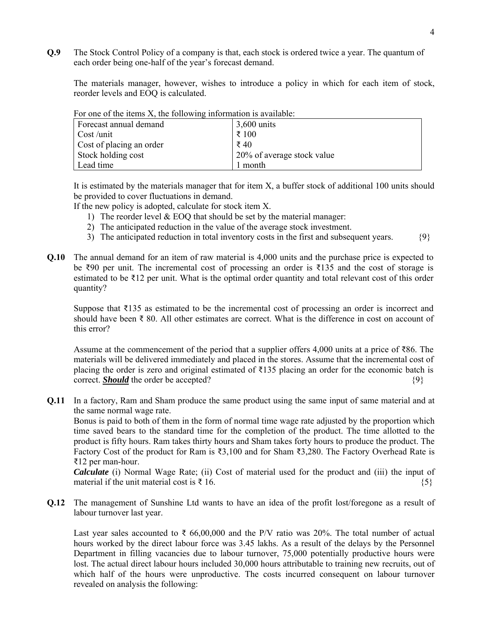**Q.9** The Stock Control Policy of a company is that, each stock is ordered twice a year. The quantum of each order being one-half of the year's forecast demand.

The materials manager, however, wishes to introduce a policy in which for each item of stock, reorder levels and EOQ is calculated.

| The one of the health zx, the following information is available. |                            |  |  |  |
|-------------------------------------------------------------------|----------------------------|--|--|--|
| Forecast annual demand                                            | $3,600$ units              |  |  |  |
| Cost/unit                                                         | ₹ 100                      |  |  |  |
| Cost of placing an order                                          | ₹40                        |  |  |  |
| Stock holding cost                                                | 20% of average stock value |  |  |  |
| Lead time                                                         | 1 month                    |  |  |  |

For one of the items  $X$ , the following information is available:

It is estimated by the materials manager that for item X, a buffer stock of additional 100 units should be provided to cover fluctuations in demand.

If the new policy is adopted, calculate for stock item X.

- 1) The reorder level & EOQ that should be set by the material manager:
- 2) The anticipated reduction in the value of the average stock investment.
- 3) The anticipated reduction in total inventory costs in the first and subsequent years. {9}
- **Q.10** The annual demand for an item of raw material is 4,000 units and the purchase price is expected to be ₹90 per unit. The incremental cost of processing an order is ₹135 and the cost of storage is estimated to be ₹12 per unit. What is the optimal order quantity and total relevant cost of this order quantity?

Suppose that ₹135 as estimated to be the incremental cost of processing an order is incorrect and should have been ₹ 80. All other estimates are correct. What is the difference in cost on account of this error?

Assume at the commencement of the period that a supplier offers 4,000 units at a price of ₹86. The materials will be delivered immediately and placed in the stores. Assume that the incremental cost of placing the order is zero and original estimated of  $\bar{\xi}$ 135 placing an order for the economic batch is correct. **Should** the order be accepted?  $\{9\}$ 

**Q.11** In a factory, Ram and Sham produce the same product using the same input of same material and at the same normal wage rate.

Bonus is paid to both of them in the form of normal time wage rate adjusted by the proportion which time saved bears to the standard time for the completion of the product. The time allotted to the product is fifty hours. Ram takes thirty hours and Sham takes forty hours to produce the product. The Factory Cost of the product for Ram is ₹3,100 and for Sham ₹3,280. The Factory Overhead Rate is ₹12 per man-hour.

*Calculate* (i) Normal Wage Rate; (ii) Cost of material used for the product and (iii) the input of material if the unit material cost is  $\overline{\xi}$  16.

**Q.12** The management of Sunshine Ltd wants to have an idea of the profit lost/foregone as a result of labour turnover last year.

Last year sales accounted to ₹ 66,00,000 and the P/V ratio was 20%. The total number of actual hours worked by the direct labour force was 3.45 lakhs. As a result of the delays by the Personnel Department in filling vacancies due to labour turnover, 75,000 potentially productive hours were lost. The actual direct labour hours included 30,000 hours attributable to training new recruits, out of which half of the hours were unproductive. The costs incurred consequent on labour turnover revealed on analysis the following: